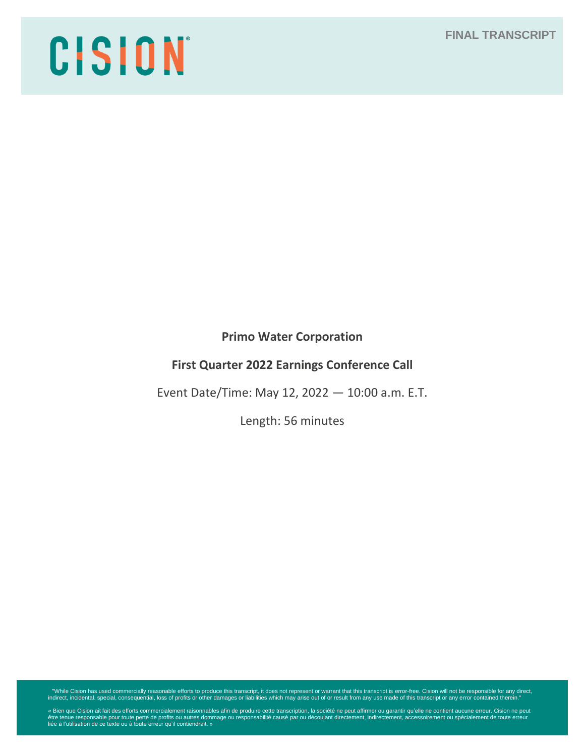**FINAL TRANSCRIPT**

# CISION

**Primo Water Corporation**

# **First Quarter 2022 Earnings Conference Call**

Event Date/Time: May 12, 2022 — 10:00 a.m. E.T.

Length: 56 minutes

"While Cision has used commercially reasonable efforts to produce this transcript, it does not represent or warrant that this transcript is error-free. Cision will not be responsible for any direct,<br>indirect, incidental, s

« Bien que Cision ait fait des efforts commercialement raisonnables afin de produire cette transcription, la société ne peut affirmer ou garantir qu'elle ne contient aucune erreur. Cision ne peut<br>être tenue responsable pou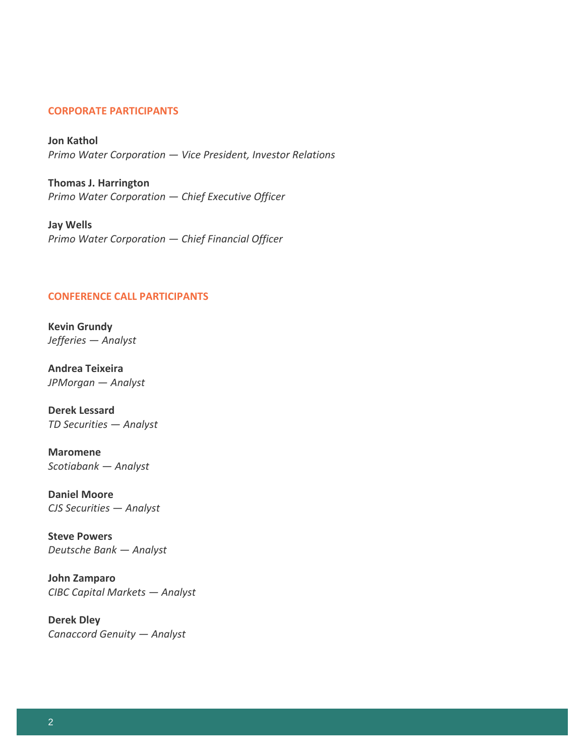## **CORPORATE PARTICIPANTS**

**Jon Kathol**  *Primo Water Corporation — Vice President, Investor Relations*

**Thomas J. Harrington** *Primo Water Corporation — Chief Executive Officer*

**Jay Wells** *Primo Water Corporation — Chief Financial Officer*

## **CONFERENCE CALL PARTICIPANTS**

**Kevin Grundy** *Jefferies — Analyst*

**Andrea Teixeira**  *JPMorgan — Analyst*

**Derek Lessard**  *TD Securities — Analyst*

**Maromene** *Scotiabank — Analyst*

**Daniel Moore** *CJS Securities — Analyst*

**Steve Powers** *Deutsche Bank — Analyst*

**John Zamparo**  *CIBC Capital Markets — Analyst*

**Derek Dley** *Canaccord Genuity — Analyst*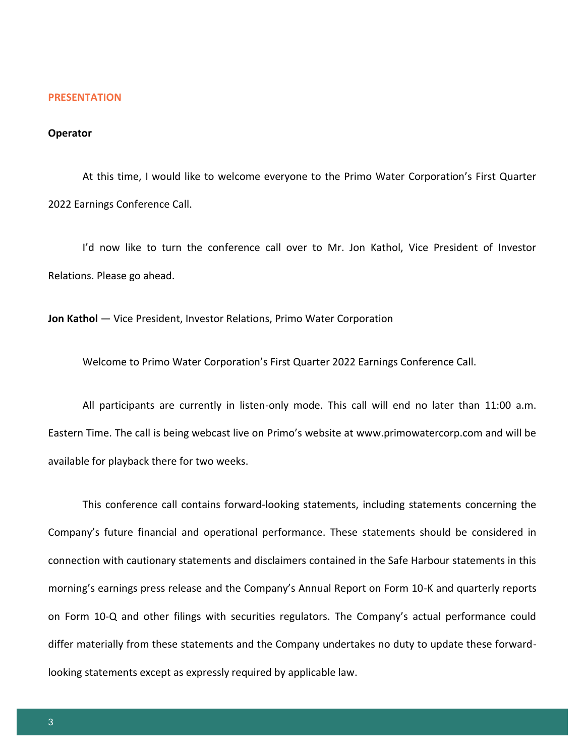#### **PRESENTATION**

#### **Operator**

At this time, I would like to welcome everyone to the Primo Water Corporation's First Quarter 2022 Earnings Conference Call.

I'd now like to turn the conference call over to Mr. Jon Kathol, Vice President of Investor Relations. Please go ahead.

**Jon Kathol** — Vice President, Investor Relations, Primo Water Corporation

Welcome to Primo Water Corporation's First Quarter 2022 Earnings Conference Call.

All participants are currently in listen-only mode. This call will end no later than 11:00 a.m. Eastern Time. The call is being webcast live on Primo's website at www.primowatercorp.com and will be available for playback there for two weeks.

This conference call contains forward-looking statements, including statements concerning the Company's future financial and operational performance. These statements should be considered in connection with cautionary statements and disclaimers contained in the Safe Harbour statements in this morning's earnings press release and the Company's Annual Report on Form 10-K and quarterly reports on Form 10-Q and other filings with securities regulators. The Company's actual performance could differ materially from these statements and the Company undertakes no duty to update these forwardlooking statements except as expressly required by applicable law.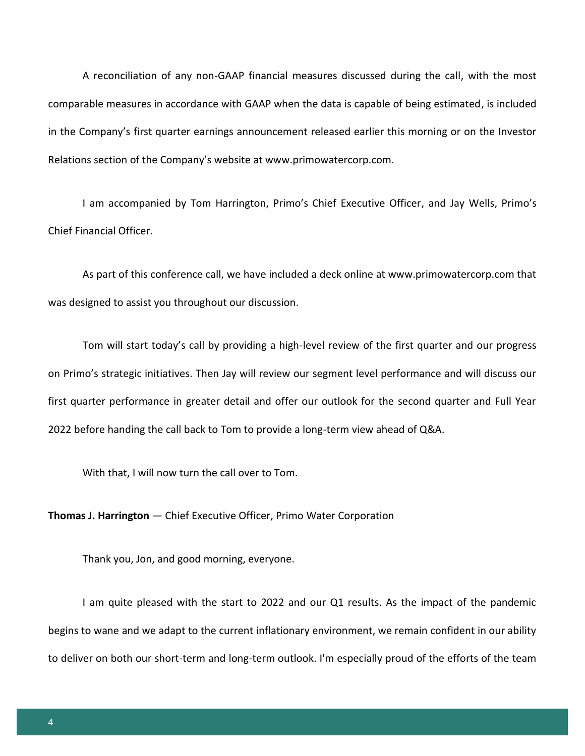A reconciliation of any non-GAAP financial measures discussed during the call, with the most comparable measures in accordance with GAAP when the data is capable of being estimated, is included in the Company's first quarter earnings announcement released earlier this morning or on the Investor Relations section of the Company's website at www.primowatercorp.com.

I am accompanied by Tom Harrington, Primo's Chief Executive Officer, and Jay Wells, Primo's Chief Financial Officer.

As part of this conference call, we have included a deck online at www.primowatercorp.com that was designed to assist you throughout our discussion.

Tom will start today's call by providing a high-level review of the first quarter and our progress on Primo's strategic initiatives. Then Jay will review our segment level performance and will discuss our first quarter performance in greater detail and offer our outlook for the second quarter and Full Year 2022 before handing the call back to Tom to provide a long-term view ahead of Q&A.

With that, I will now turn the call over to Tom.

**Thomas J. Harrington** — Chief Executive Officer, Primo Water Corporation

Thank you, Jon, and good morning, everyone.

I am quite pleased with the start to 2022 and our Q1 results. As the impact of the pandemic begins to wane and we adapt to the current inflationary environment, we remain confident in our ability to deliver on both our short-term and long-term outlook. I'm especially proud of the efforts of the team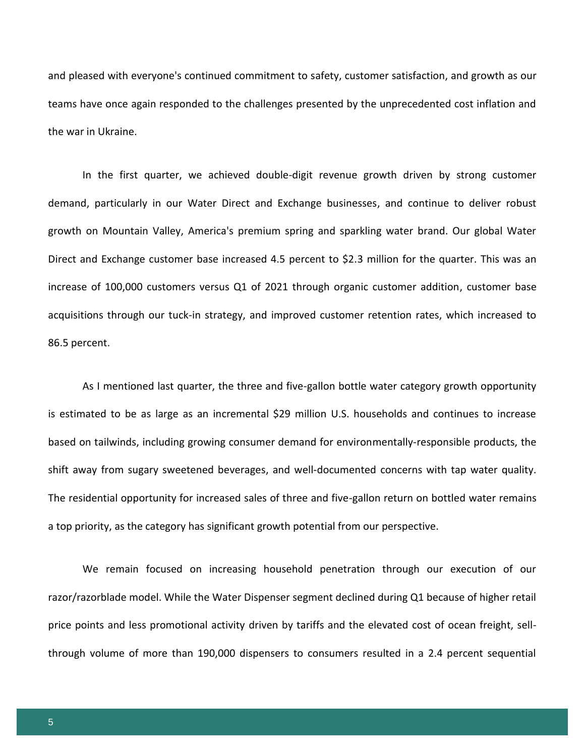and pleased with everyone's continued commitment to safety, customer satisfaction, and growth as our teams have once again responded to the challenges presented by the unprecedented cost inflation and the war in Ukraine.

In the first quarter, we achieved double-digit revenue growth driven by strong customer demand, particularly in our Water Direct and Exchange businesses, and continue to deliver robust growth on Mountain Valley, America's premium spring and sparkling water brand. Our global Water Direct and Exchange customer base increased 4.5 percent to \$2.3 million for the quarter. This was an increase of 100,000 customers versus Q1 of 2021 through organic customer addition, customer base acquisitions through our tuck-in strategy, and improved customer retention rates, which increased to 86.5 percent.

As I mentioned last quarter, the three and five-gallon bottle water category growth opportunity is estimated to be as large as an incremental \$29 million U.S. households and continues to increase based on tailwinds, including growing consumer demand for environmentally-responsible products, the shift away from sugary sweetened beverages, and well-documented concerns with tap water quality. The residential opportunity for increased sales of three and five-gallon return on bottled water remains a top priority, as the category has significant growth potential from our perspective.

We remain focused on increasing household penetration through our execution of our razor/razorblade model. While the Water Dispenser segment declined during Q1 because of higher retail price points and less promotional activity driven by tariffs and the elevated cost of ocean freight, sellthrough volume of more than 190,000 dispensers to consumers resulted in a 2.4 percent sequential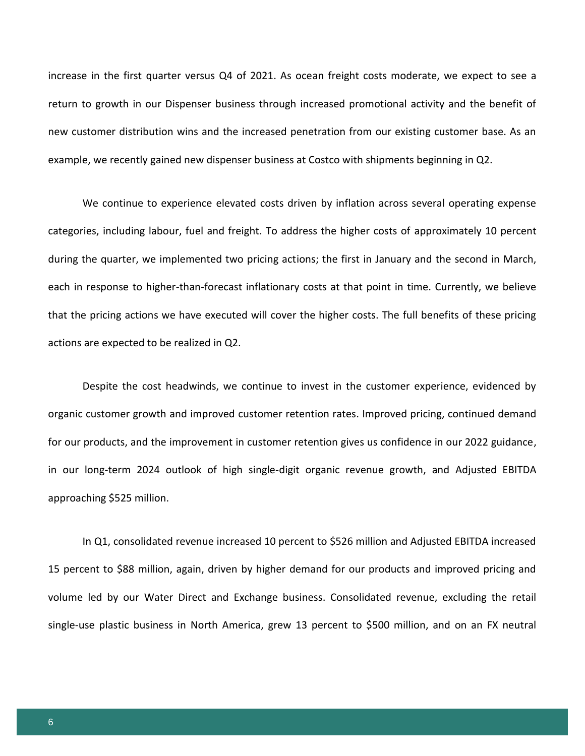increase in the first quarter versus Q4 of 2021. As ocean freight costs moderate, we expect to see a return to growth in our Dispenser business through increased promotional activity and the benefit of new customer distribution wins and the increased penetration from our existing customer base. As an example, we recently gained new dispenser business at Costco with shipments beginning in Q2.

We continue to experience elevated costs driven by inflation across several operating expense categories, including labour, fuel and freight. To address the higher costs of approximately 10 percent during the quarter, we implemented two pricing actions; the first in January and the second in March, each in response to higher-than-forecast inflationary costs at that point in time. Currently, we believe that the pricing actions we have executed will cover the higher costs. The full benefits of these pricing actions are expected to be realized in Q2.

Despite the cost headwinds, we continue to invest in the customer experience, evidenced by organic customer growth and improved customer retention rates. Improved pricing, continued demand for our products, and the improvement in customer retention gives us confidence in our 2022 guidance, in our long-term 2024 outlook of high single-digit organic revenue growth, and Adjusted EBITDA approaching \$525 million.

In Q1, consolidated revenue increased 10 percent to \$526 million and Adjusted EBITDA increased 15 percent to \$88 million, again, driven by higher demand for our products and improved pricing and volume led by our Water Direct and Exchange business. Consolidated revenue, excluding the retail single-use plastic business in North America, grew 13 percent to \$500 million, and on an FX neutral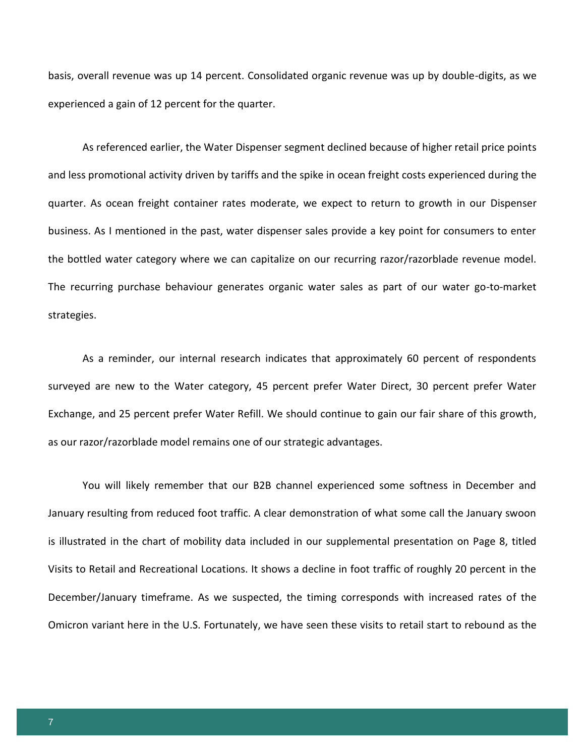basis, overall revenue was up 14 percent. Consolidated organic revenue was up by double-digits, as we experienced a gain of 12 percent for the quarter.

As referenced earlier, the Water Dispenser segment declined because of higher retail price points and less promotional activity driven by tariffs and the spike in ocean freight costs experienced during the quarter. As ocean freight container rates moderate, we expect to return to growth in our Dispenser business. As I mentioned in the past, water dispenser sales provide a key point for consumers to enter the bottled water category where we can capitalize on our recurring razor/razorblade revenue model. The recurring purchase behaviour generates organic water sales as part of our water go-to-market strategies.

As a reminder, our internal research indicates that approximately 60 percent of respondents surveyed are new to the Water category, 45 percent prefer Water Direct, 30 percent prefer Water Exchange, and 25 percent prefer Water Refill. We should continue to gain our fair share of this growth, as our razor/razorblade model remains one of our strategic advantages.

You will likely remember that our B2B channel experienced some softness in December and January resulting from reduced foot traffic. A clear demonstration of what some call the January swoon is illustrated in the chart of mobility data included in our supplemental presentation on Page 8, titled Visits to Retail and Recreational Locations. It shows a decline in foot traffic of roughly 20 percent in the December/January timeframe. As we suspected, the timing corresponds with increased rates of the Omicron variant here in the U.S. Fortunately, we have seen these visits to retail start to rebound as the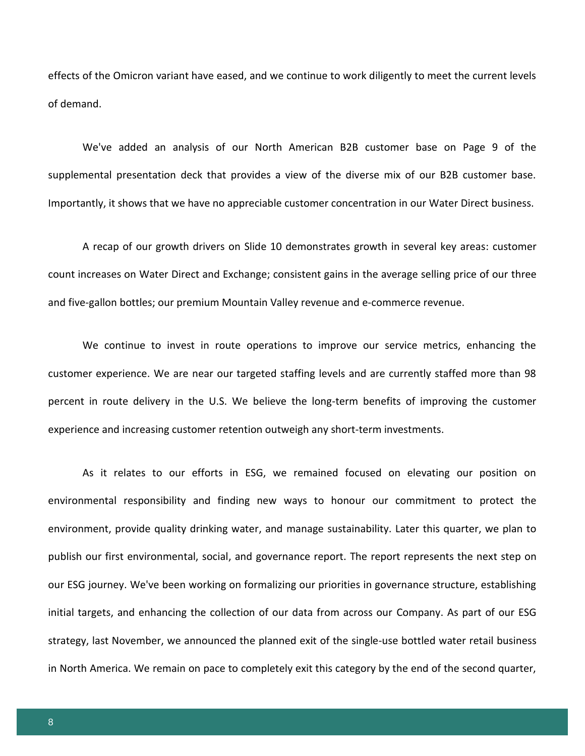effects of the Omicron variant have eased, and we continue to work diligently to meet the current levels of demand.

We've added an analysis of our North American B2B customer base on Page 9 of the supplemental presentation deck that provides a view of the diverse mix of our B2B customer base. Importantly, it shows that we have no appreciable customer concentration in our Water Direct business.

A recap of our growth drivers on Slide 10 demonstrates growth in several key areas: customer count increases on Water Direct and Exchange; consistent gains in the average selling price of our three and five-gallon bottles; our premium Mountain Valley revenue and e-commerce revenue.

We continue to invest in route operations to improve our service metrics, enhancing the customer experience. We are near our targeted staffing levels and are currently staffed more than 98 percent in route delivery in the U.S. We believe the long-term benefits of improving the customer experience and increasing customer retention outweigh any short-term investments.

As it relates to our efforts in ESG, we remained focused on elevating our position on environmental responsibility and finding new ways to honour our commitment to protect the environment, provide quality drinking water, and manage sustainability. Later this quarter, we plan to publish our first environmental, social, and governance report. The report represents the next step on our ESG journey. We've been working on formalizing our priorities in governance structure, establishing initial targets, and enhancing the collection of our data from across our Company. As part of our ESG strategy, last November, we announced the planned exit of the single-use bottled water retail business in North America. We remain on pace to completely exit this category by the end of the second quarter,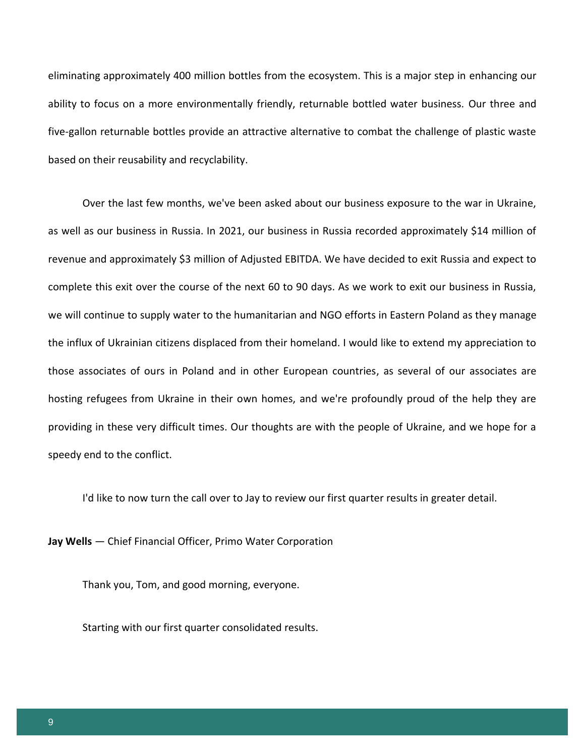eliminating approximately 400 million bottles from the ecosystem. This is a major step in enhancing our ability to focus on a more environmentally friendly, returnable bottled water business. Our three and five-gallon returnable bottles provide an attractive alternative to combat the challenge of plastic waste based on their reusability and recyclability.

Over the last few months, we've been asked about our business exposure to the war in Ukraine, as well as our business in Russia. In 2021, our business in Russia recorded approximately \$14 million of revenue and approximately \$3 million of Adjusted EBITDA. We have decided to exit Russia and expect to complete this exit over the course of the next 60 to 90 days. As we work to exit our business in Russia, we will continue to supply water to the humanitarian and NGO efforts in Eastern Poland as they manage the influx of Ukrainian citizens displaced from their homeland. I would like to extend my appreciation to those associates of ours in Poland and in other European countries, as several of our associates are hosting refugees from Ukraine in their own homes, and we're profoundly proud of the help they are providing in these very difficult times. Our thoughts are with the people of Ukraine, and we hope for a speedy end to the conflict.

I'd like to now turn the call over to Jay to review our first quarter results in greater detail.

**Jay Wells** — Chief Financial Officer, Primo Water Corporation

Thank you, Tom, and good morning, everyone.

Starting with our first quarter consolidated results.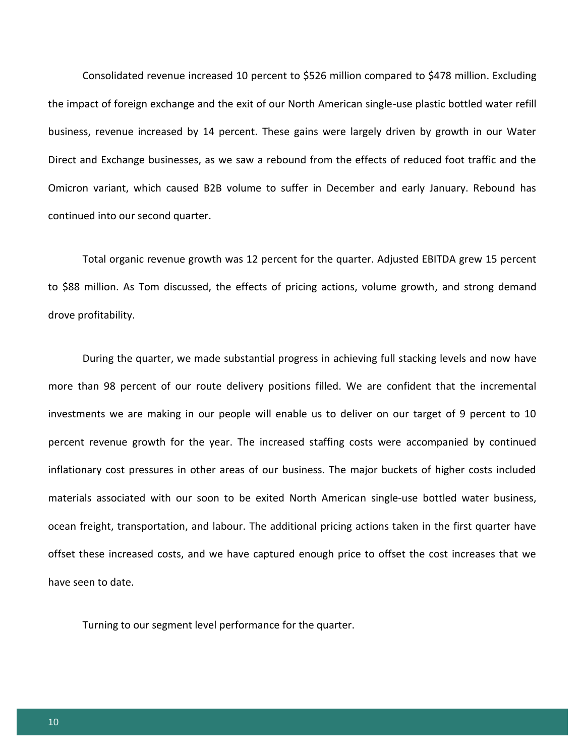Consolidated revenue increased 10 percent to \$526 million compared to \$478 million. Excluding the impact of foreign exchange and the exit of our North American single-use plastic bottled water refill business, revenue increased by 14 percent. These gains were largely driven by growth in our Water Direct and Exchange businesses, as we saw a rebound from the effects of reduced foot traffic and the Omicron variant, which caused B2B volume to suffer in December and early January. Rebound has continued into our second quarter.

Total organic revenue growth was 12 percent for the quarter. Adjusted EBITDA grew 15 percent to \$88 million. As Tom discussed, the effects of pricing actions, volume growth, and strong demand drove profitability.

During the quarter, we made substantial progress in achieving full stacking levels and now have more than 98 percent of our route delivery positions filled. We are confident that the incremental investments we are making in our people will enable us to deliver on our target of 9 percent to 10 percent revenue growth for the year. The increased staffing costs were accompanied by continued inflationary cost pressures in other areas of our business. The major buckets of higher costs included materials associated with our soon to be exited North American single-use bottled water business, ocean freight, transportation, and labour. The additional pricing actions taken in the first quarter have offset these increased costs, and we have captured enough price to offset the cost increases that we have seen to date.

Turning to our segment level performance for the quarter.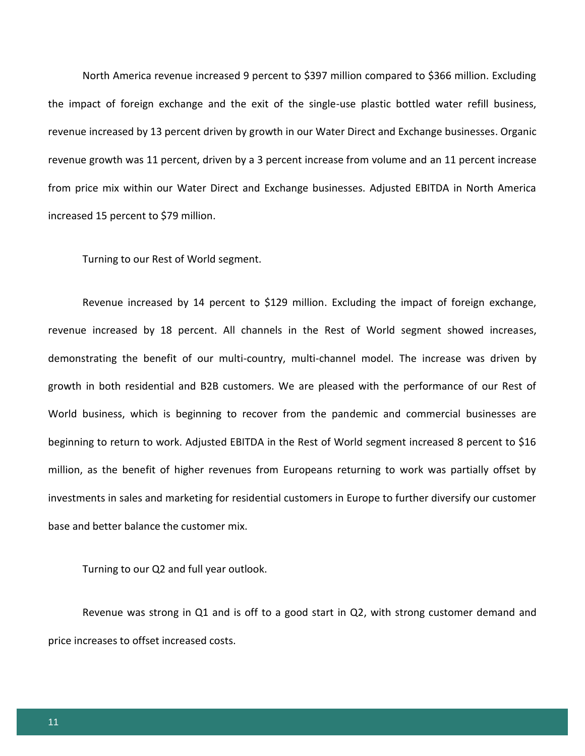North America revenue increased 9 percent to \$397 million compared to \$366 million. Excluding the impact of foreign exchange and the exit of the single-use plastic bottled water refill business, revenue increased by 13 percent driven by growth in our Water Direct and Exchange businesses. Organic revenue growth was 11 percent, driven by a 3 percent increase from volume and an 11 percent increase from price mix within our Water Direct and Exchange businesses. Adjusted EBITDA in North America increased 15 percent to \$79 million.

Turning to our Rest of World segment.

Revenue increased by 14 percent to \$129 million. Excluding the impact of foreign exchange, revenue increased by 18 percent. All channels in the Rest of World segment showed increases, demonstrating the benefit of our multi-country, multi-channel model. The increase was driven by growth in both residential and B2B customers. We are pleased with the performance of our Rest of World business, which is beginning to recover from the pandemic and commercial businesses are beginning to return to work. Adjusted EBITDA in the Rest of World segment increased 8 percent to \$16 million, as the benefit of higher revenues from Europeans returning to work was partially offset by investments in sales and marketing for residential customers in Europe to further diversify our customer base and better balance the customer mix.

Turning to our Q2 and full year outlook.

Revenue was strong in Q1 and is off to a good start in Q2, with strong customer demand and price increases to offset increased costs.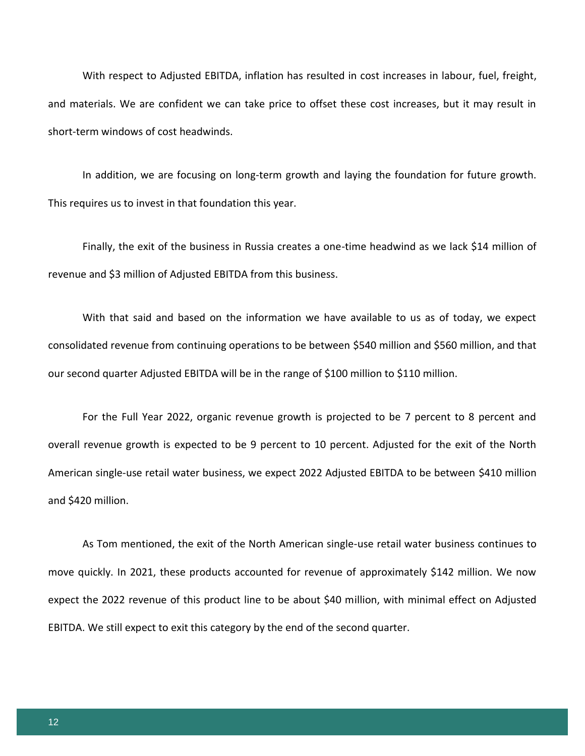With respect to Adjusted EBITDA, inflation has resulted in cost increases in labour, fuel, freight, and materials. We are confident we can take price to offset these cost increases, but it may result in short-term windows of cost headwinds.

In addition, we are focusing on long-term growth and laying the foundation for future growth. This requires us to invest in that foundation this year.

Finally, the exit of the business in Russia creates a one-time headwind as we lack \$14 million of revenue and \$3 million of Adjusted EBITDA from this business.

With that said and based on the information we have available to us as of today, we expect consolidated revenue from continuing operations to be between \$540 million and \$560 million, and that our second quarter Adjusted EBITDA will be in the range of \$100 million to \$110 million.

For the Full Year 2022, organic revenue growth is projected to be 7 percent to 8 percent and overall revenue growth is expected to be 9 percent to 10 percent. Adjusted for the exit of the North American single-use retail water business, we expect 2022 Adjusted EBITDA to be between \$410 million and \$420 million.

As Tom mentioned, the exit of the North American single-use retail water business continues to move quickly. In 2021, these products accounted for revenue of approximately \$142 million. We now expect the 2022 revenue of this product line to be about \$40 million, with minimal effect on Adjusted EBITDA. We still expect to exit this category by the end of the second quarter.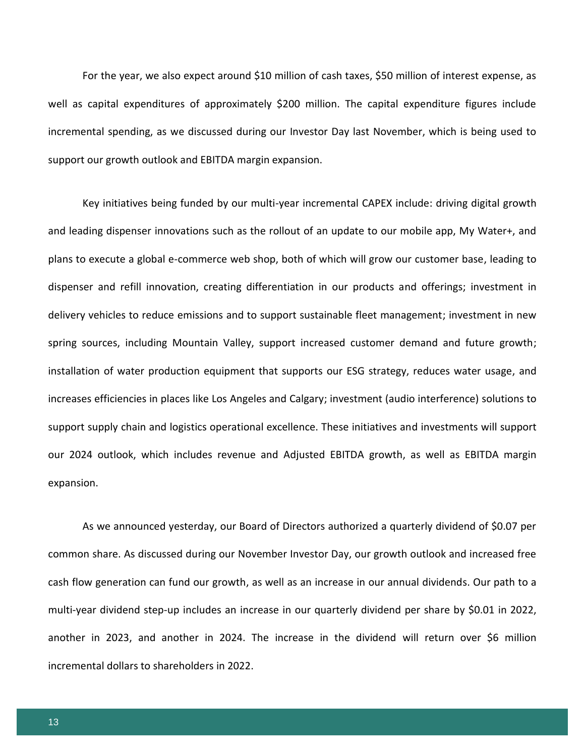For the year, we also expect around \$10 million of cash taxes, \$50 million of interest expense, as well as capital expenditures of approximately \$200 million. The capital expenditure figures include incremental spending, as we discussed during our Investor Day last November, which is being used to support our growth outlook and EBITDA margin expansion.

Key initiatives being funded by our multi-year incremental CAPEX include: driving digital growth and leading dispenser innovations such as the rollout of an update to our mobile app, My Water+, and plans to execute a global e-commerce web shop, both of which will grow our customer base, leading to dispenser and refill innovation, creating differentiation in our products and offerings; investment in delivery vehicles to reduce emissions and to support sustainable fleet management; investment in new spring sources, including Mountain Valley, support increased customer demand and future growth; installation of water production equipment that supports our ESG strategy, reduces water usage, and increases efficiencies in places like Los Angeles and Calgary; investment (audio interference) solutions to support supply chain and logistics operational excellence. These initiatives and investments will support our 2024 outlook, which includes revenue and Adjusted EBITDA growth, as well as EBITDA margin expansion.

As we announced yesterday, our Board of Directors authorized a quarterly dividend of \$0.07 per common share. As discussed during our November Investor Day, our growth outlook and increased free cash flow generation can fund our growth, as well as an increase in our annual dividends. Our path to a multi-year dividend step-up includes an increase in our quarterly dividend per share by \$0.01 in 2022, another in 2023, and another in 2024. The increase in the dividend will return over \$6 million incremental dollars to shareholders in 2022.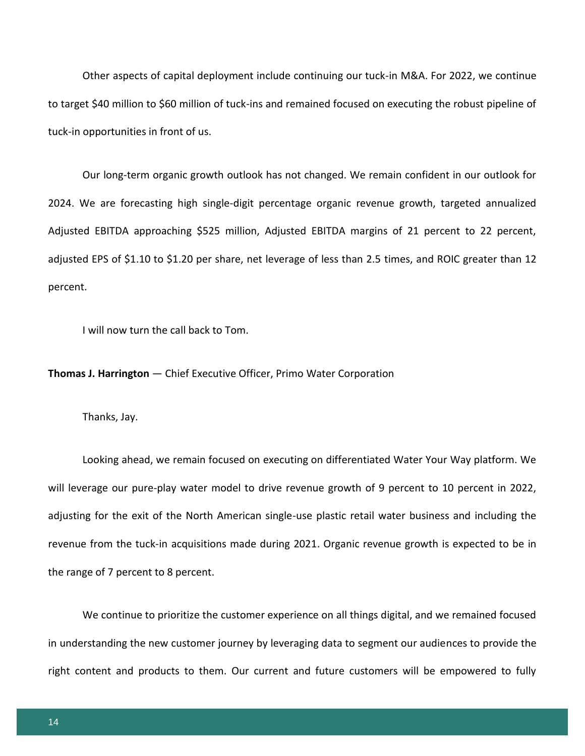Other aspects of capital deployment include continuing our tuck-in M&A. For 2022, we continue to target \$40 million to \$60 million of tuck-ins and remained focused on executing the robust pipeline of tuck-in opportunities in front of us.

Our long-term organic growth outlook has not changed. We remain confident in our outlook for 2024. We are forecasting high single-digit percentage organic revenue growth, targeted annualized Adjusted EBITDA approaching \$525 million, Adjusted EBITDA margins of 21 percent to 22 percent, adjusted EPS of \$1.10 to \$1.20 per share, net leverage of less than 2.5 times, and ROIC greater than 12 percent.

I will now turn the call back to Tom.

**Thomas J. Harrington** — Chief Executive Officer, Primo Water Corporation

Thanks, Jay.

Looking ahead, we remain focused on executing on differentiated Water Your Way platform. We will leverage our pure-play water model to drive revenue growth of 9 percent to 10 percent in 2022, adjusting for the exit of the North American single-use plastic retail water business and including the revenue from the tuck-in acquisitions made during 2021. Organic revenue growth is expected to be in the range of 7 percent to 8 percent.

We continue to prioritize the customer experience on all things digital, and we remained focused in understanding the new customer journey by leveraging data to segment our audiences to provide the right content and products to them. Our current and future customers will be empowered to fully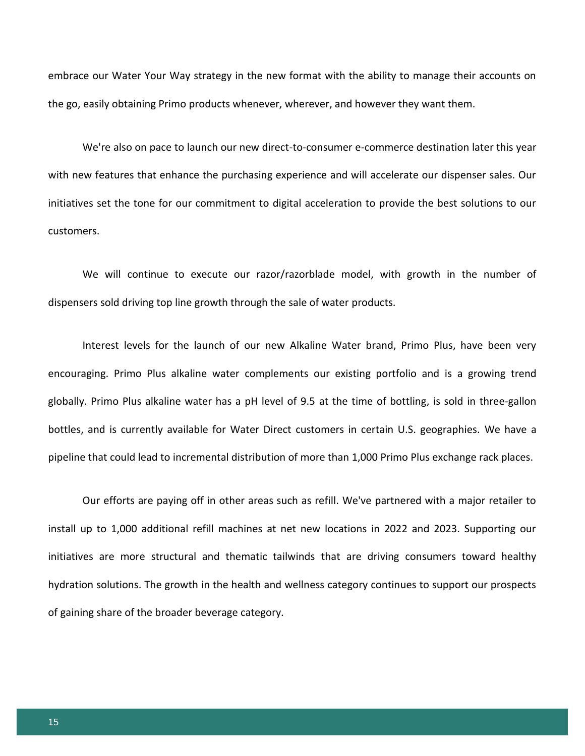embrace our Water Your Way strategy in the new format with the ability to manage their accounts on the go, easily obtaining Primo products whenever, wherever, and however they want them.

We're also on pace to launch our new direct-to-consumer e-commerce destination later this year with new features that enhance the purchasing experience and will accelerate our dispenser sales. Our initiatives set the tone for our commitment to digital acceleration to provide the best solutions to our customers.

We will continue to execute our razor/razorblade model, with growth in the number of dispensers sold driving top line growth through the sale of water products.

Interest levels for the launch of our new Alkaline Water brand, Primo Plus, have been very encouraging. Primo Plus alkaline water complements our existing portfolio and is a growing trend globally. Primo Plus alkaline water has a pH level of 9.5 at the time of bottling, is sold in three-gallon bottles, and is currently available for Water Direct customers in certain U.S. geographies. We have a pipeline that could lead to incremental distribution of more than 1,000 Primo Plus exchange rack places.

Our efforts are paying off in other areas such as refill. We've partnered with a major retailer to install up to 1,000 additional refill machines at net new locations in 2022 and 2023. Supporting our initiatives are more structural and thematic tailwinds that are driving consumers toward healthy hydration solutions. The growth in the health and wellness category continues to support our prospects of gaining share of the broader beverage category.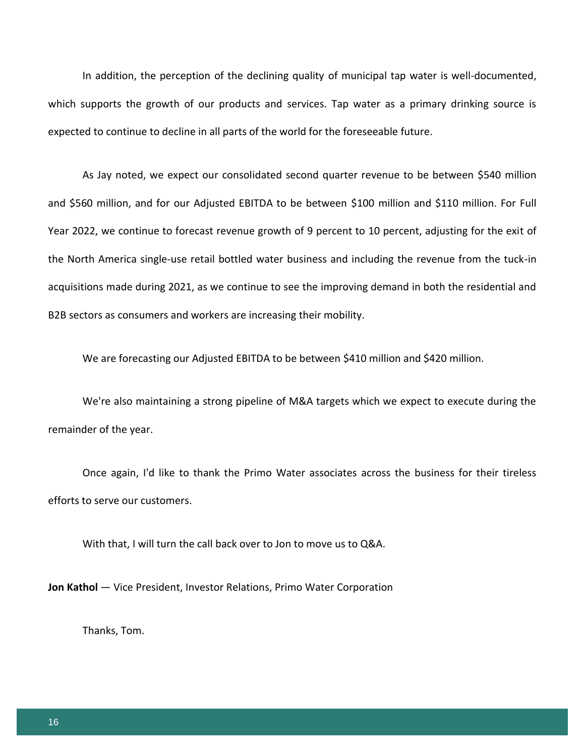In addition, the perception of the declining quality of municipal tap water is well-documented, which supports the growth of our products and services. Tap water as a primary drinking source is expected to continue to decline in all parts of the world for the foreseeable future.

As Jay noted, we expect our consolidated second quarter revenue to be between \$540 million and \$560 million, and for our Adjusted EBITDA to be between \$100 million and \$110 million. For Full Year 2022, we continue to forecast revenue growth of 9 percent to 10 percent, adjusting for the exit of the North America single-use retail bottled water business and including the revenue from the tuck-in acquisitions made during 2021, as we continue to see the improving demand in both the residential and B2B sectors as consumers and workers are increasing their mobility.

We are forecasting our Adjusted EBITDA to be between \$410 million and \$420 million.

We're also maintaining a strong pipeline of M&A targets which we expect to execute during the remainder of the year.

Once again, I'd like to thank the Primo Water associates across the business for their tireless efforts to serve our customers.

With that, I will turn the call back over to Jon to move us to Q&A.

**Jon Kathol** — Vice President, Investor Relations, Primo Water Corporation

Thanks, Tom.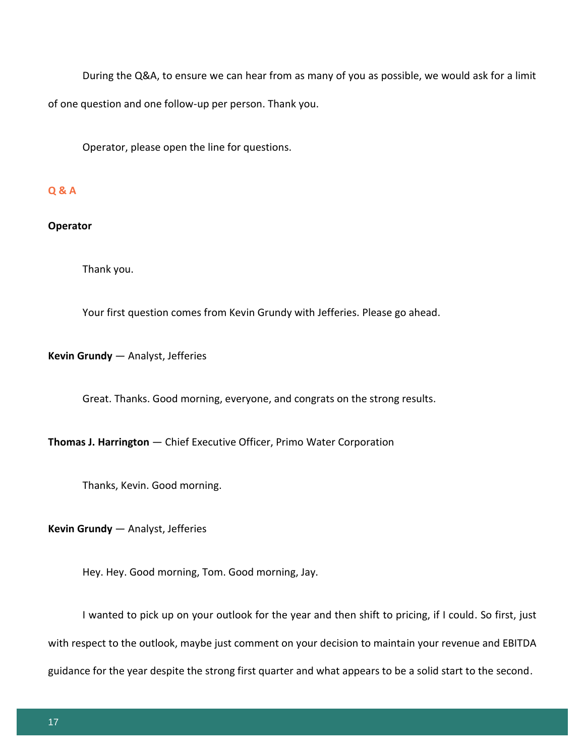During the Q&A, to ensure we can hear from as many of you as possible, we would ask for a limit of one question and one follow-up per person. Thank you.

Operator, please open the line for questions.

## **Q & A**

## **Operator**

Thank you.

Your first question comes from Kevin Grundy with Jefferies. Please go ahead.

## **Kevin Grundy** — Analyst, Jefferies

Great. Thanks. Good morning, everyone, and congrats on the strong results.

**Thomas J. Harrington** — Chief Executive Officer, Primo Water Corporation

Thanks, Kevin. Good morning.

**Kevin Grundy** — Analyst, Jefferies

Hey. Hey. Good morning, Tom. Good morning, Jay.

I wanted to pick up on your outlook for the year and then shift to pricing, if I could. So first, just with respect to the outlook, maybe just comment on your decision to maintain your revenue and EBITDA guidance for the year despite the strong first quarter and what appears to be a solid start to the second.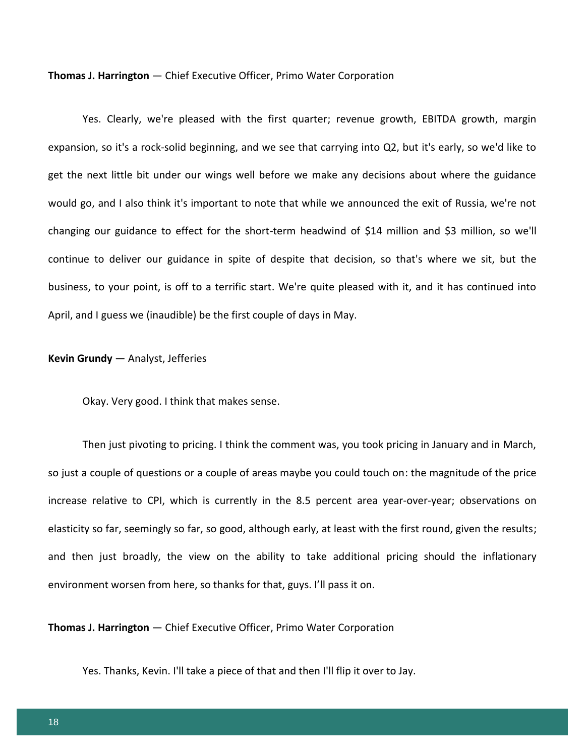**Thomas J. Harrington** — Chief Executive Officer, Primo Water Corporation

Yes. Clearly, we're pleased with the first quarter; revenue growth, EBITDA growth, margin expansion, so it's a rock-solid beginning, and we see that carrying into Q2, but it's early, so we'd like to get the next little bit under our wings well before we make any decisions about where the guidance would go, and I also think it's important to note that while we announced the exit of Russia, we're not changing our guidance to effect for the short-term headwind of \$14 million and \$3 million, so we'll continue to deliver our guidance in spite of despite that decision, so that's where we sit, but the business, to your point, is off to a terrific start. We're quite pleased with it, and it has continued into April, and I guess we (inaudible) be the first couple of days in May.

#### **Kevin Grundy** — Analyst, Jefferies

Okay. Very good. I think that makes sense.

Then just pivoting to pricing. I think the comment was, you took pricing in January and in March, so just a couple of questions or a couple of areas maybe you could touch on: the magnitude of the price increase relative to CPI, which is currently in the 8.5 percent area year-over-year; observations on elasticity so far, seemingly so far, so good, although early, at least with the first round, given the results; and then just broadly, the view on the ability to take additional pricing should the inflationary environment worsen from here, so thanks for that, guys. I'll pass it on.

**Thomas J. Harrington** — Chief Executive Officer, Primo Water Corporation

Yes. Thanks, Kevin. I'll take a piece of that and then I'll flip it over to Jay.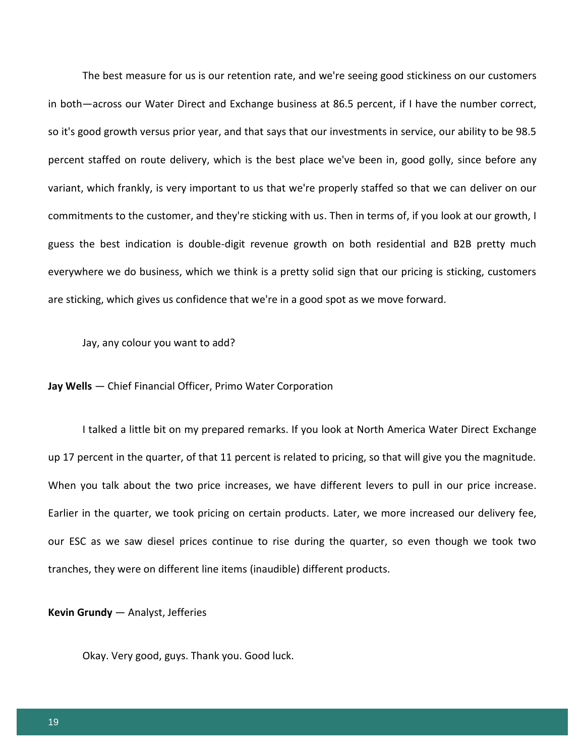The best measure for us is our retention rate, and we're seeing good stickiness on our customers in both—across our Water Direct and Exchange business at 86.5 percent, if I have the number correct, so it's good growth versus prior year, and that says that our investments in service, our ability to be 98.5 percent staffed on route delivery, which is the best place we've been in, good golly, since before any variant, which frankly, is very important to us that we're properly staffed so that we can deliver on our commitments to the customer, and they're sticking with us. Then in terms of, if you look at our growth, I guess the best indication is double-digit revenue growth on both residential and B2B pretty much everywhere we do business, which we think is a pretty solid sign that our pricing is sticking, customers are sticking, which gives us confidence that we're in a good spot as we move forward.

Jay, any colour you want to add?

**Jay Wells** — Chief Financial Officer, Primo Water Corporation

I talked a little bit on my prepared remarks. If you look at North America Water Direct Exchange up 17 percent in the quarter, of that 11 percent is related to pricing, so that will give you the magnitude. When you talk about the two price increases, we have different levers to pull in our price increase. Earlier in the quarter, we took pricing on certain products. Later, we more increased our delivery fee, our ESC as we saw diesel prices continue to rise during the quarter, so even though we took two tranches, they were on different line items (inaudible) different products.

**Kevin Grundy** — Analyst, Jefferies

Okay. Very good, guys. Thank you. Good luck.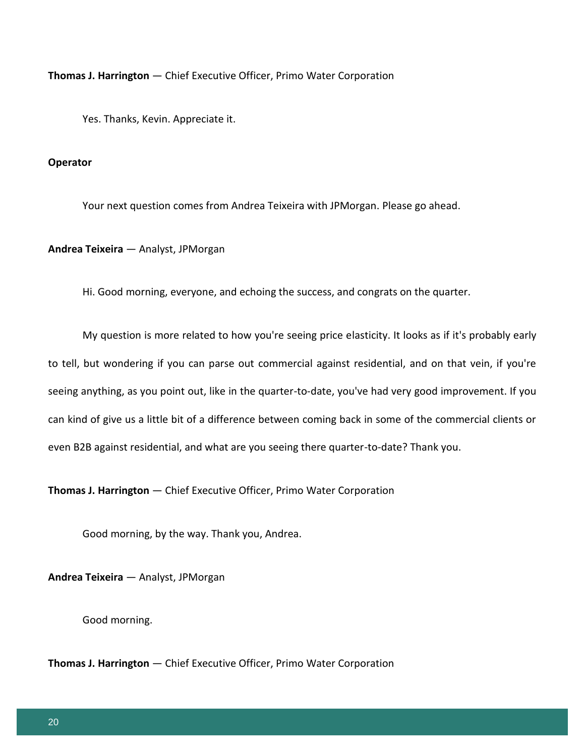**Thomas J. Harrington** — Chief Executive Officer, Primo Water Corporation

Yes. Thanks, Kevin. Appreciate it.

## **Operator**

Your next question comes from Andrea Teixeira with JPMorgan. Please go ahead.

**Andrea Teixeira** — Analyst, JPMorgan

Hi. Good morning, everyone, and echoing the success, and congrats on the quarter.

My question is more related to how you're seeing price elasticity. It looks as if it's probably early to tell, but wondering if you can parse out commercial against residential, and on that vein, if you're seeing anything, as you point out, like in the quarter-to-date, you've had very good improvement. If you can kind of give us a little bit of a difference between coming back in some of the commercial clients or even B2B against residential, and what are you seeing there quarter-to-date? Thank you.

**Thomas J. Harrington** — Chief Executive Officer, Primo Water Corporation

Good morning, by the way. Thank you, Andrea.

**Andrea Teixeira** — Analyst, JPMorgan

Good morning.

**Thomas J. Harrington** — Chief Executive Officer, Primo Water Corporation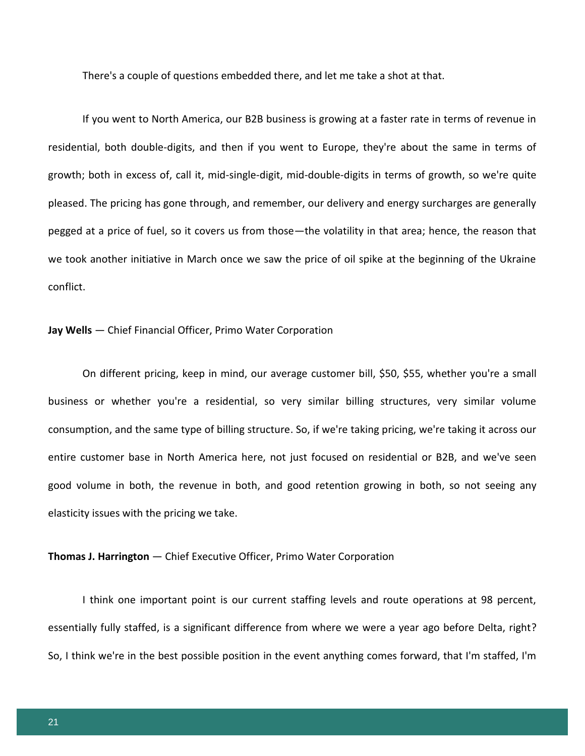There's a couple of questions embedded there, and let me take a shot at that.

If you went to North America, our B2B business is growing at a faster rate in terms of revenue in residential, both double-digits, and then if you went to Europe, they're about the same in terms of growth; both in excess of, call it, mid-single-digit, mid-double-digits in terms of growth, so we're quite pleased. The pricing has gone through, and remember, our delivery and energy surcharges are generally pegged at a price of fuel, so it covers us from those—the volatility in that area; hence, the reason that we took another initiative in March once we saw the price of oil spike at the beginning of the Ukraine conflict.

#### **Jay Wells** — Chief Financial Officer, Primo Water Corporation

On different pricing, keep in mind, our average customer bill, \$50, \$55, whether you're a small business or whether you're a residential, so very similar billing structures, very similar volume consumption, and the same type of billing structure. So, if we're taking pricing, we're taking it across our entire customer base in North America here, not just focused on residential or B2B, and we've seen good volume in both, the revenue in both, and good retention growing in both, so not seeing any elasticity issues with the pricing we take.

#### **Thomas J. Harrington** — Chief Executive Officer, Primo Water Corporation

I think one important point is our current staffing levels and route operations at 98 percent, essentially fully staffed, is a significant difference from where we were a year ago before Delta, right? So, I think we're in the best possible position in the event anything comes forward, that I'm staffed, I'm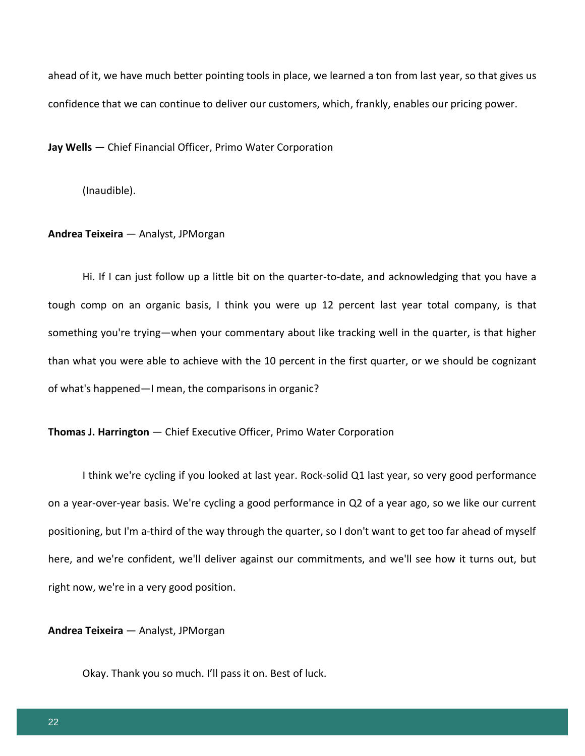ahead of it, we have much better pointing tools in place, we learned a ton from last year, so that gives us confidence that we can continue to deliver our customers, which, frankly, enables our pricing power.

**Jay Wells** — Chief Financial Officer, Primo Water Corporation

(Inaudible).

#### **Andrea Teixeira** — Analyst, JPMorgan

Hi. If I can just follow up a little bit on the quarter-to-date, and acknowledging that you have a tough comp on an organic basis, I think you were up 12 percent last year total company, is that something you're trying—when your commentary about like tracking well in the quarter, is that higher than what you were able to achieve with the 10 percent in the first quarter, or we should be cognizant of what's happened—I mean, the comparisons in organic?

## **Thomas J. Harrington** — Chief Executive Officer, Primo Water Corporation

I think we're cycling if you looked at last year. Rock-solid Q1 last year, so very good performance on a year-over-year basis. We're cycling a good performance in Q2 of a year ago, so we like our current positioning, but I'm a-third of the way through the quarter, so I don't want to get too far ahead of myself here, and we're confident, we'll deliver against our commitments, and we'll see how it turns out, but right now, we're in a very good position.

**Andrea Teixeira** — Analyst, JPMorgan

Okay. Thank you so much. I'll pass it on. Best of luck.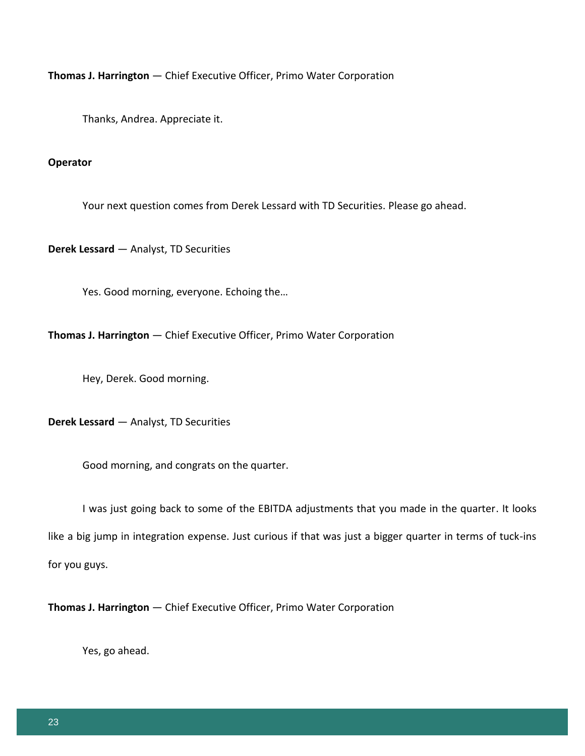**Thomas J. Harrington** — Chief Executive Officer, Primo Water Corporation

Thanks, Andrea. Appreciate it.

## **Operator**

Your next question comes from Derek Lessard with TD Securities. Please go ahead.

**Derek Lessard** — Analyst, TD Securities

Yes. Good morning, everyone. Echoing the…

**Thomas J. Harrington** — Chief Executive Officer, Primo Water Corporation

Hey, Derek. Good morning.

**Derek Lessard** — Analyst, TD Securities

Good morning, and congrats on the quarter.

I was just going back to some of the EBITDA adjustments that you made in the quarter. It looks like a big jump in integration expense. Just curious if that was just a bigger quarter in terms of tuck-ins for you guys.

**Thomas J. Harrington** — Chief Executive Officer, Primo Water Corporation

Yes, go ahead.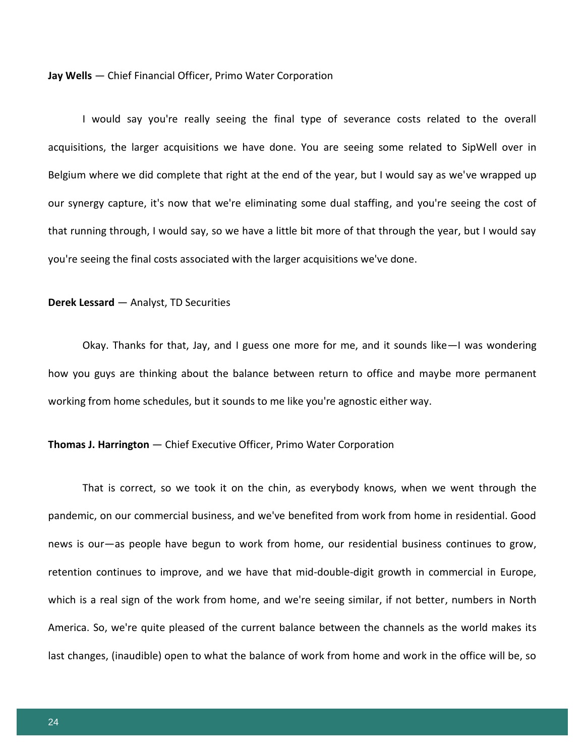#### **Jay Wells** — Chief Financial Officer, Primo Water Corporation

I would say you're really seeing the final type of severance costs related to the overall acquisitions, the larger acquisitions we have done. You are seeing some related to SipWell over in Belgium where we did complete that right at the end of the year, but I would say as we've wrapped up our synergy capture, it's now that we're eliminating some dual staffing, and you're seeing the cost of that running through, I would say, so we have a little bit more of that through the year, but I would say you're seeing the final costs associated with the larger acquisitions we've done.

#### **Derek Lessard** — Analyst, TD Securities

Okay. Thanks for that, Jay, and I guess one more for me, and it sounds like—I was wondering how you guys are thinking about the balance between return to office and maybe more permanent working from home schedules, but it sounds to me like you're agnostic either way.

## **Thomas J. Harrington** — Chief Executive Officer, Primo Water Corporation

That is correct, so we took it on the chin, as everybody knows, when we went through the pandemic, on our commercial business, and we've benefited from work from home in residential. Good news is our—as people have begun to work from home, our residential business continues to grow, retention continues to improve, and we have that mid-double-digit growth in commercial in Europe, which is a real sign of the work from home, and we're seeing similar, if not better, numbers in North America. So, we're quite pleased of the current balance between the channels as the world makes its last changes, (inaudible) open to what the balance of work from home and work in the office will be, so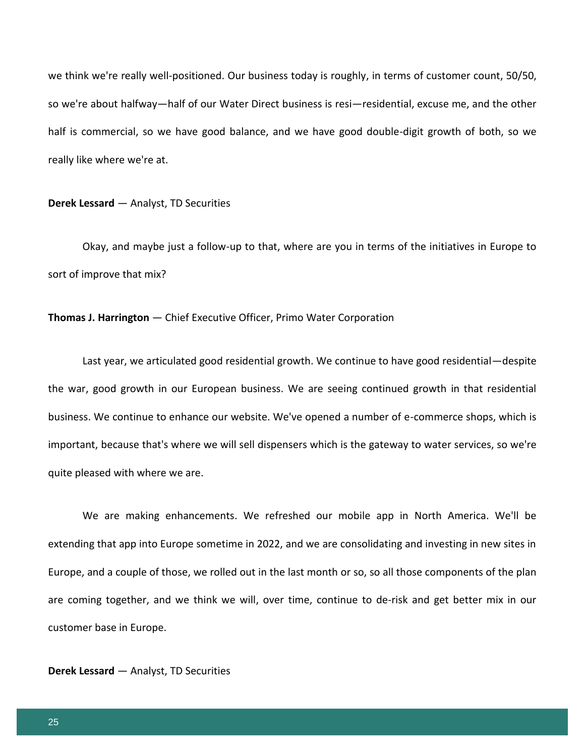we think we're really well-positioned. Our business today is roughly, in terms of customer count, 50/50, so we're about halfway—half of our Water Direct business is resi—residential, excuse me, and the other half is commercial, so we have good balance, and we have good double-digit growth of both, so we really like where we're at.

#### **Derek Lessard** — Analyst, TD Securities

Okay, and maybe just a follow-up to that, where are you in terms of the initiatives in Europe to sort of improve that mix?

## **Thomas J. Harrington** — Chief Executive Officer, Primo Water Corporation

Last year, we articulated good residential growth. We continue to have good residential—despite the war, good growth in our European business. We are seeing continued growth in that residential business. We continue to enhance our website. We've opened a number of e-commerce shops, which is important, because that's where we will sell dispensers which is the gateway to water services, so we're quite pleased with where we are.

We are making enhancements. We refreshed our mobile app in North America. We'll be extending that app into Europe sometime in 2022, and we are consolidating and investing in new sites in Europe, and a couple of those, we rolled out in the last month or so, so all those components of the plan are coming together, and we think we will, over time, continue to de-risk and get better mix in our customer base in Europe.

## **Derek Lessard** — Analyst, TD Securities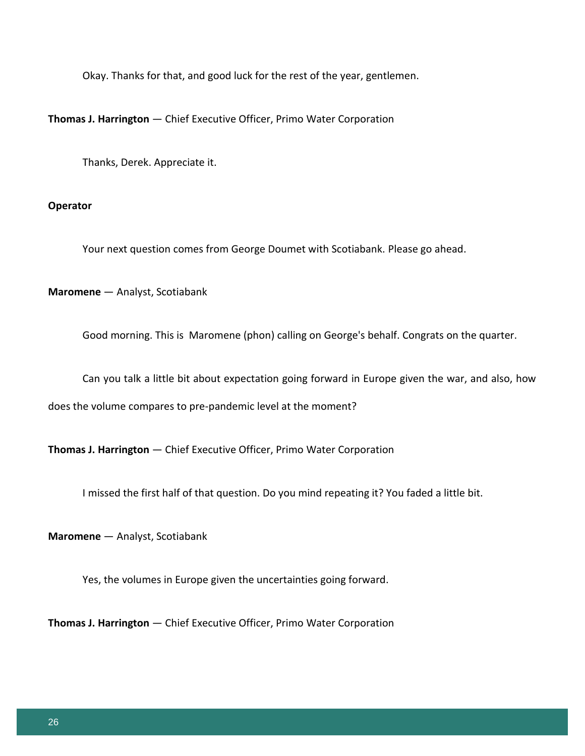Okay. Thanks for that, and good luck for the rest of the year, gentlemen.

**Thomas J. Harrington** — Chief Executive Officer, Primo Water Corporation

Thanks, Derek. Appreciate it.

## **Operator**

Your next question comes from George Doumet with Scotiabank. Please go ahead.

**Maromene** — Analyst, Scotiabank

Good morning. This is Maromene (phon) calling on George's behalf. Congrats on the quarter.

Can you talk a little bit about expectation going forward in Europe given the war, and also, how

does the volume compares to pre-pandemic level at the moment?

**Thomas J. Harrington** — Chief Executive Officer, Primo Water Corporation

I missed the first half of that question. Do you mind repeating it? You faded a little bit.

**Maromene** — Analyst, Scotiabank

Yes, the volumes in Europe given the uncertainties going forward.

**Thomas J. Harrington** — Chief Executive Officer, Primo Water Corporation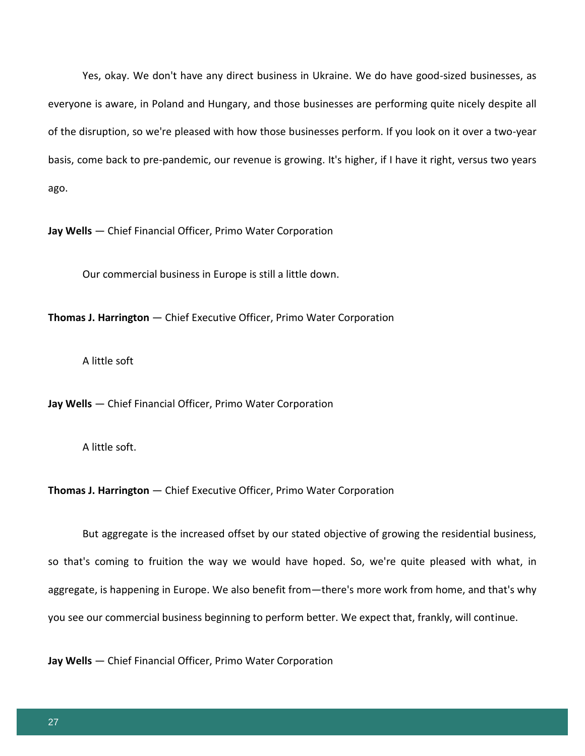Yes, okay. We don't have any direct business in Ukraine. We do have good-sized businesses, as everyone is aware, in Poland and Hungary, and those businesses are performing quite nicely despite all of the disruption, so we're pleased with how those businesses perform. If you look on it over a two-year basis, come back to pre-pandemic, our revenue is growing. It's higher, if I have it right, versus two years ago.

**Jay Wells** — Chief Financial Officer, Primo Water Corporation

Our commercial business in Europe is still a little down.

**Thomas J. Harrington** — Chief Executive Officer, Primo Water Corporation

A little soft

**Jay Wells** — Chief Financial Officer, Primo Water Corporation

A little soft.

**Thomas J. Harrington** — Chief Executive Officer, Primo Water Corporation

But aggregate is the increased offset by our stated objective of growing the residential business, so that's coming to fruition the way we would have hoped. So, we're quite pleased with what, in aggregate, is happening in Europe. We also benefit from—there's more work from home, and that's why you see our commercial business beginning to perform better. We expect that, frankly, will continue.

**Jay Wells** — Chief Financial Officer, Primo Water Corporation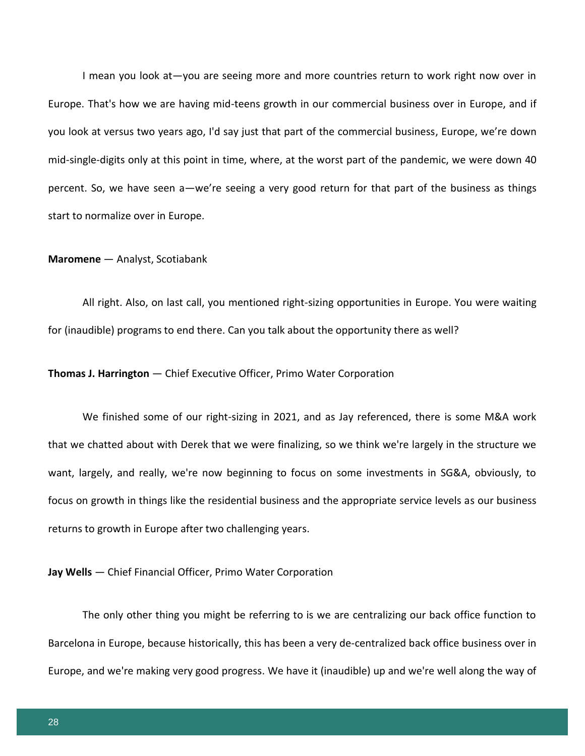I mean you look at—you are seeing more and more countries return to work right now over in Europe. That's how we are having mid-teens growth in our commercial business over in Europe, and if you look at versus two years ago, I'd say just that part of the commercial business, Europe, we're down mid-single-digits only at this point in time, where, at the worst part of the pandemic, we were down 40 percent. So, we have seen a—we're seeing a very good return for that part of the business as things start to normalize over in Europe.

#### **Maromene** — Analyst, Scotiabank

All right. Also, on last call, you mentioned right-sizing opportunities in Europe. You were waiting for (inaudible) programs to end there. Can you talk about the opportunity there as well?

## **Thomas J. Harrington** — Chief Executive Officer, Primo Water Corporation

We finished some of our right-sizing in 2021, and as Jay referenced, there is some M&A work that we chatted about with Derek that we were finalizing, so we think we're largely in the structure we want, largely, and really, we're now beginning to focus on some investments in SG&A, obviously, to focus on growth in things like the residential business and the appropriate service levels as our business returns to growth in Europe after two challenging years.

**Jay Wells** — Chief Financial Officer, Primo Water Corporation

The only other thing you might be referring to is we are centralizing our back office function to Barcelona in Europe, because historically, this has been a very de-centralized back office business over in Europe, and we're making very good progress. We have it (inaudible) up and we're well along the way of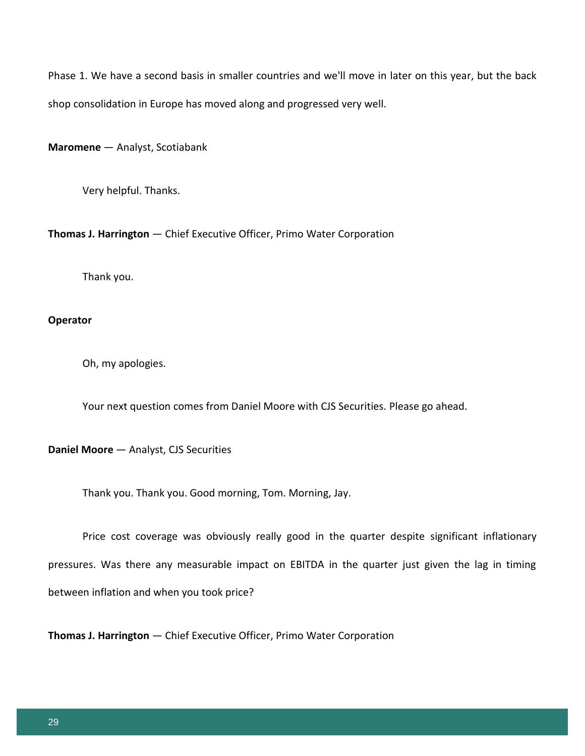Phase 1. We have a second basis in smaller countries and we'll move in later on this year, but the back shop consolidation in Europe has moved along and progressed very well.

**Maromene** — Analyst, Scotiabank

Very helpful. Thanks.

**Thomas J. Harrington** — Chief Executive Officer, Primo Water Corporation

Thank you.

## **Operator**

Oh, my apologies.

Your next question comes from Daniel Moore with CJS Securities. Please go ahead.

**Daniel Moore** — Analyst, CJS Securities

Thank you. Thank you. Good morning, Tom. Morning, Jay.

Price cost coverage was obviously really good in the quarter despite significant inflationary pressures. Was there any measurable impact on EBITDA in the quarter just given the lag in timing between inflation and when you took price?

**Thomas J. Harrington** — Chief Executive Officer, Primo Water Corporation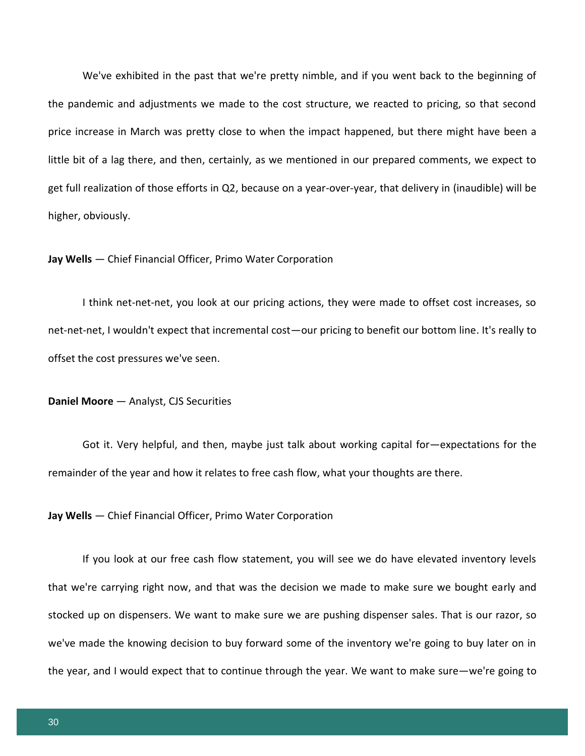We've exhibited in the past that we're pretty nimble, and if you went back to the beginning of the pandemic and adjustments we made to the cost structure, we reacted to pricing, so that second price increase in March was pretty close to when the impact happened, but there might have been a little bit of a lag there, and then, certainly, as we mentioned in our prepared comments, we expect to get full realization of those efforts in Q2, because on a year-over-year, that delivery in (inaudible) will be higher, obviously.

## **Jay Wells** — Chief Financial Officer, Primo Water Corporation

I think net-net-net, you look at our pricing actions, they were made to offset cost increases, so net-net-net, I wouldn't expect that incremental cost—our pricing to benefit our bottom line. It's really to offset the cost pressures we've seen.

#### **Daniel Moore** — Analyst, CJS Securities

Got it. Very helpful, and then, maybe just talk about working capital for—expectations for the remainder of the year and how it relates to free cash flow, what your thoughts are there.

**Jay Wells** — Chief Financial Officer, Primo Water Corporation

If you look at our free cash flow statement, you will see we do have elevated inventory levels that we're carrying right now, and that was the decision we made to make sure we bought early and stocked up on dispensers. We want to make sure we are pushing dispenser sales. That is our razor, so we've made the knowing decision to buy forward some of the inventory we're going to buy later on in the year, and I would expect that to continue through the year. We want to make sure—we're going to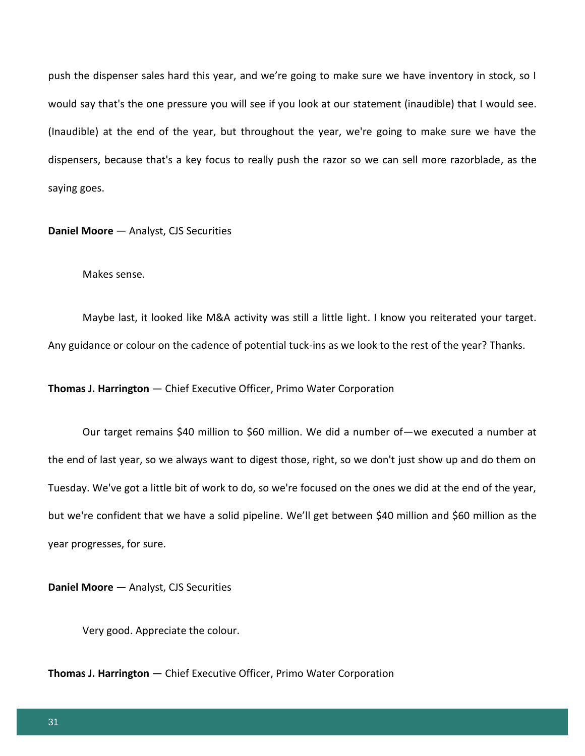push the dispenser sales hard this year, and we're going to make sure we have inventory in stock, so I would say that's the one pressure you will see if you look at our statement (inaudible) that I would see. (Inaudible) at the end of the year, but throughout the year, we're going to make sure we have the dispensers, because that's a key focus to really push the razor so we can sell more razorblade, as the saying goes.

**Daniel Moore** — Analyst, CJS Securities

Makes sense.

Maybe last, it looked like M&A activity was still a little light. I know you reiterated your target. Any guidance or colour on the cadence of potential tuck-ins as we look to the rest of the year? Thanks.

**Thomas J. Harrington** — Chief Executive Officer, Primo Water Corporation

Our target remains \$40 million to \$60 million. We did a number of—we executed a number at the end of last year, so we always want to digest those, right, so we don't just show up and do them on Tuesday. We've got a little bit of work to do, so we're focused on the ones we did at the end of the year, but we're confident that we have a solid pipeline. We'll get between \$40 million and \$60 million as the year progresses, for sure.

**Daniel Moore** — Analyst, CJS Securities

Very good. Appreciate the colour.

**Thomas J. Harrington** — Chief Executive Officer, Primo Water Corporation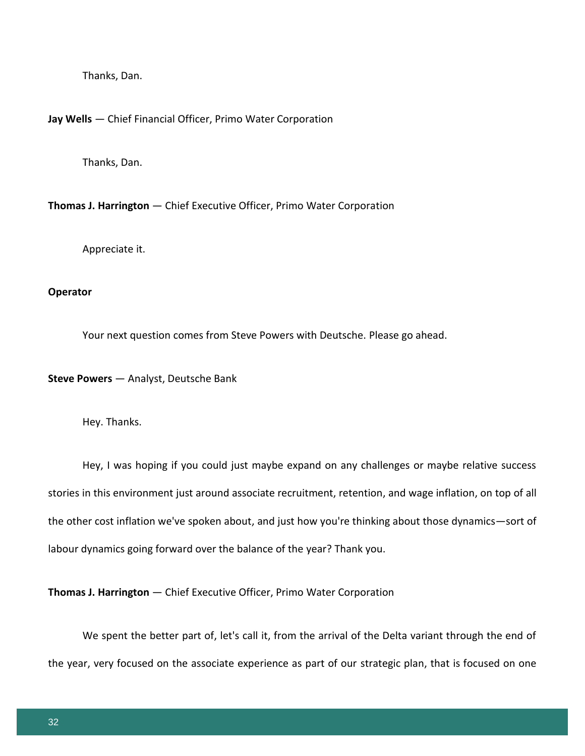Thanks, Dan.

#### **Jay Wells** — Chief Financial Officer, Primo Water Corporation

Thanks, Dan.

**Thomas J. Harrington** — Chief Executive Officer, Primo Water Corporation

Appreciate it.

#### **Operator**

Your next question comes from Steve Powers with Deutsche. Please go ahead.

**Steve Powers** — Analyst, Deutsche Bank

Hey. Thanks.

Hey, I was hoping if you could just maybe expand on any challenges or maybe relative success stories in this environment just around associate recruitment, retention, and wage inflation, on top of all the other cost inflation we've spoken about, and just how you're thinking about those dynamics—sort of labour dynamics going forward over the balance of the year? Thank you.

**Thomas J. Harrington** — Chief Executive Officer, Primo Water Corporation

We spent the better part of, let's call it, from the arrival of the Delta variant through the end of the year, very focused on the associate experience as part of our strategic plan, that is focused on one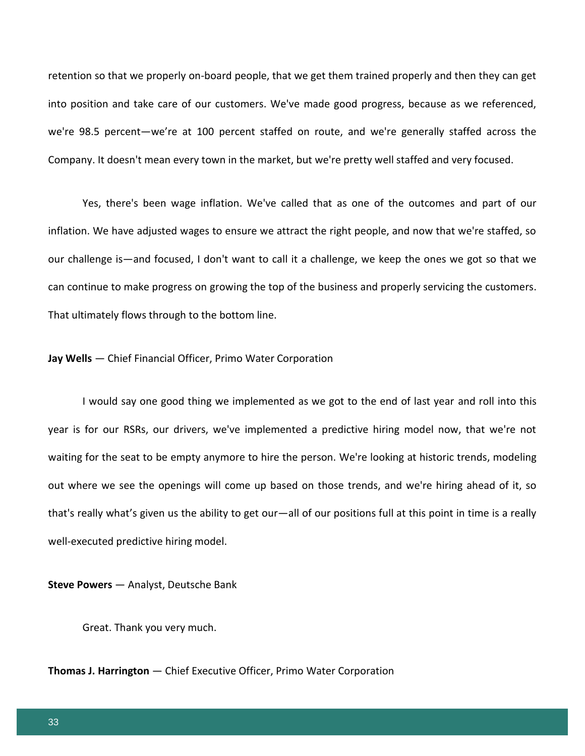retention so that we properly on-board people, that we get them trained properly and then they can get into position and take care of our customers. We've made good progress, because as we referenced, we're 98.5 percent—we're at 100 percent staffed on route, and we're generally staffed across the Company. It doesn't mean every town in the market, but we're pretty well staffed and very focused.

Yes, there's been wage inflation. We've called that as one of the outcomes and part of our inflation. We have adjusted wages to ensure we attract the right people, and now that we're staffed, so our challenge is—and focused, I don't want to call it a challenge, we keep the ones we got so that we can continue to make progress on growing the top of the business and properly servicing the customers. That ultimately flows through to the bottom line.

#### **Jay Wells** — Chief Financial Officer, Primo Water Corporation

I would say one good thing we implemented as we got to the end of last year and roll into this year is for our RSRs, our drivers, we've implemented a predictive hiring model now, that we're not waiting for the seat to be empty anymore to hire the person. We're looking at historic trends, modeling out where we see the openings will come up based on those trends, and we're hiring ahead of it, so that's really what's given us the ability to get our—all of our positions full at this point in time is a really well-executed predictive hiring model.

**Steve Powers** — Analyst, Deutsche Bank

Great. Thank you very much.

**Thomas J. Harrington** — Chief Executive Officer, Primo Water Corporation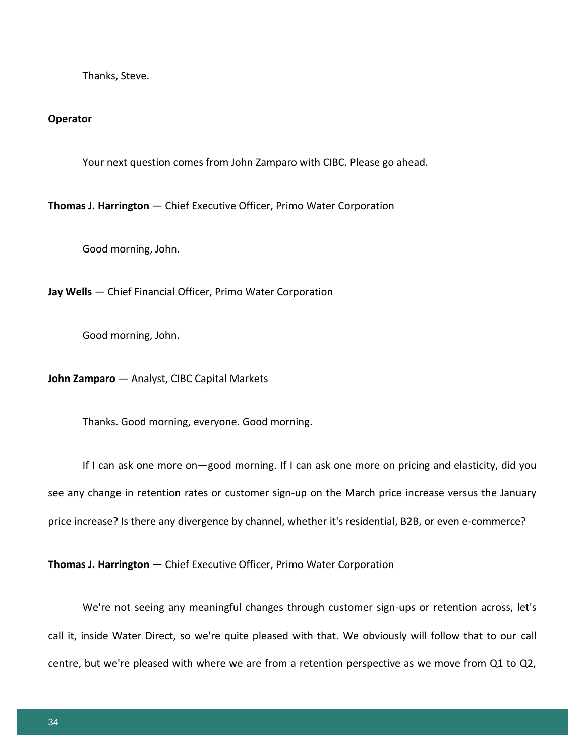Thanks, Steve.

#### **Operator**

Your next question comes from John Zamparo with CIBC. Please go ahead.

**Thomas J. Harrington** — Chief Executive Officer, Primo Water Corporation

Good morning, John.

**Jay Wells** — Chief Financial Officer, Primo Water Corporation

Good morning, John.

**John Zamparo** — Analyst, CIBC Capital Markets

Thanks. Good morning, everyone. Good morning.

If I can ask one more on—good morning. If I can ask one more on pricing and elasticity, did you see any change in retention rates or customer sign-up on the March price increase versus the January price increase? Is there any divergence by channel, whether it's residential, B2B, or even e-commerce?

**Thomas J. Harrington** — Chief Executive Officer, Primo Water Corporation

We're not seeing any meaningful changes through customer sign-ups or retention across, let's call it, inside Water Direct, so we're quite pleased with that. We obviously will follow that to our call centre, but we're pleased with where we are from a retention perspective as we move from Q1 to Q2,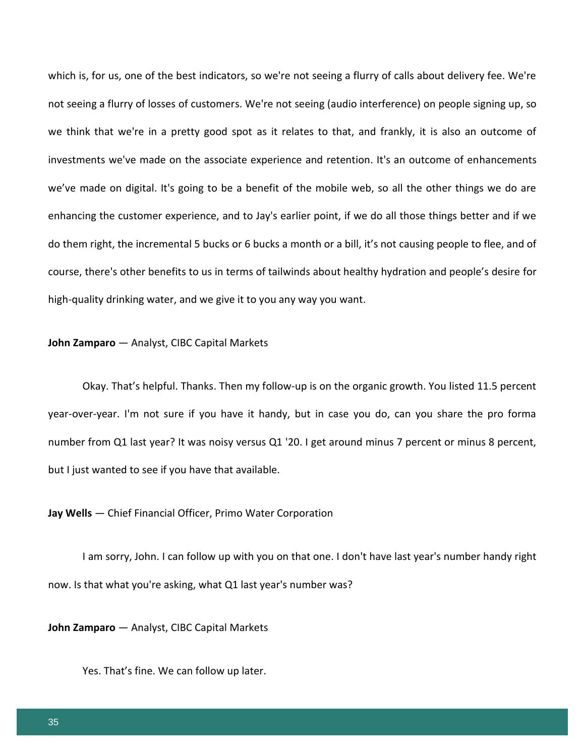which is, for us, one of the best indicators, so we're not seeing a flurry of calls about delivery fee. We're not seeing a flurry of losses of customers. We're not seeing (audio interference) on people signing up, so we think that we're in a pretty good spot as it relates to that, and frankly, it is also an outcome of investments we've made on the associate experience and retention. It's an outcome of enhancements we've made on digital. It's going to be a benefit of the mobile web, so all the other things we do are enhancing the customer experience, and to Jay's earlier point, if we do all those things better and if we do them right, the incremental 5 bucks or 6 bucks a month or a bill, it's not causing people to flee, and of course, there's other benefits to us in terms of tailwinds about healthy hydration and people's desire for high-quality drinking water, and we give it to you any way you want.

#### **John Zamparo** — Analyst, CIBC Capital Markets

Okay. That's helpful. Thanks. Then my follow-up is on the organic growth. You listed 11.5 percent year-over-year. I'm not sure if you have it handy, but in case you do, can you share the pro forma number from Q1 last year? It was noisy versus Q1 '20. I get around minus 7 percent or minus 8 percent, but I just wanted to see if you have that available.

#### **Jay Wells** — Chief Financial Officer, Primo Water Corporation

I am sorry, John. I can follow up with you on that one. I don't have last year's number handy right now. Is that what you're asking, what Q1 last year's number was?

**John Zamparo** — Analyst, CIBC Capital Markets

Yes. That's fine. We can follow up later.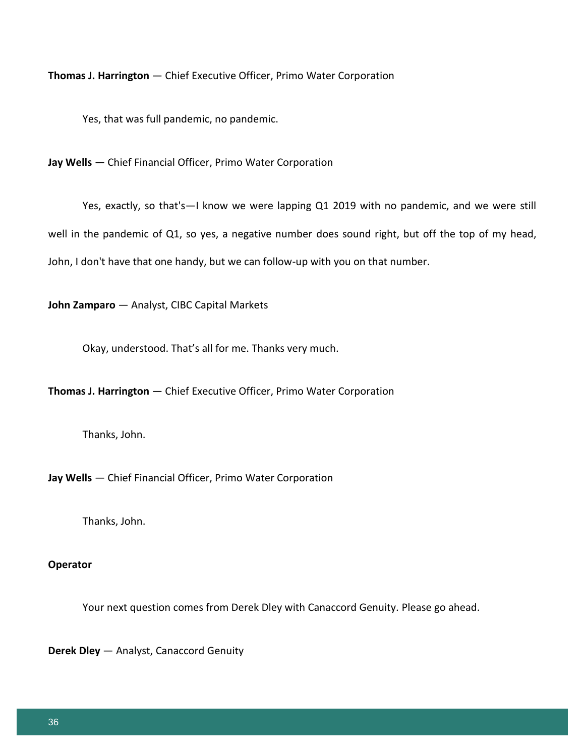**Thomas J. Harrington** — Chief Executive Officer, Primo Water Corporation

Yes, that was full pandemic, no pandemic.

**Jay Wells** — Chief Financial Officer, Primo Water Corporation

Yes, exactly, so that's—I know we were lapping Q1 2019 with no pandemic, and we were still well in the pandemic of Q1, so yes, a negative number does sound right, but off the top of my head, John, I don't have that one handy, but we can follow-up with you on that number.

**John Zamparo** — Analyst, CIBC Capital Markets

Okay, understood. That's all for me. Thanks very much.

**Thomas J. Harrington** — Chief Executive Officer, Primo Water Corporation

Thanks, John.

**Jay Wells** — Chief Financial Officer, Primo Water Corporation

Thanks, John.

## **Operator**

Your next question comes from Derek Dley with Canaccord Genuity. Please go ahead.

**Derek Dley** — Analyst, Canaccord Genuity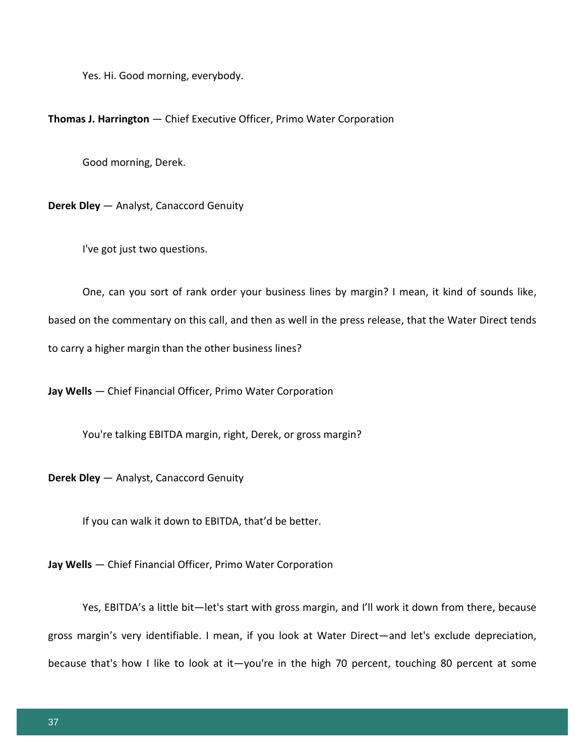Yes. Hi. Good morning, everybody.

**Thomas J. Harrington** — Chief Executive Officer, Primo Water Corporation

Good morning, Derek.

**Derek Dley** — Analyst, Canaccord Genuity

I've got just two questions.

One, can you sort of rank order your business lines by margin? I mean, it kind of sounds like, based on the commentary on this call, and then as well in the press release, that the Water Direct tends to carry a higher margin than the other business lines?

**Jay Wells** — Chief Financial Officer, Primo Water Corporation

You're talking EBITDA margin, right, Derek, or gross margin?

**Derek Dley** — Analyst, Canaccord Genuity

If you can walk it down to EBITDA, that'd be better.

**Jay Wells** — Chief Financial Officer, Primo Water Corporation

Yes, EBITDA's a little bit—let's start with gross margin, and I'll work it down from there, because gross margin's very identifiable. I mean, if you look at Water Direct—and let's exclude depreciation, because that's how I like to look at it—you're in the high 70 percent, touching 80 percent at some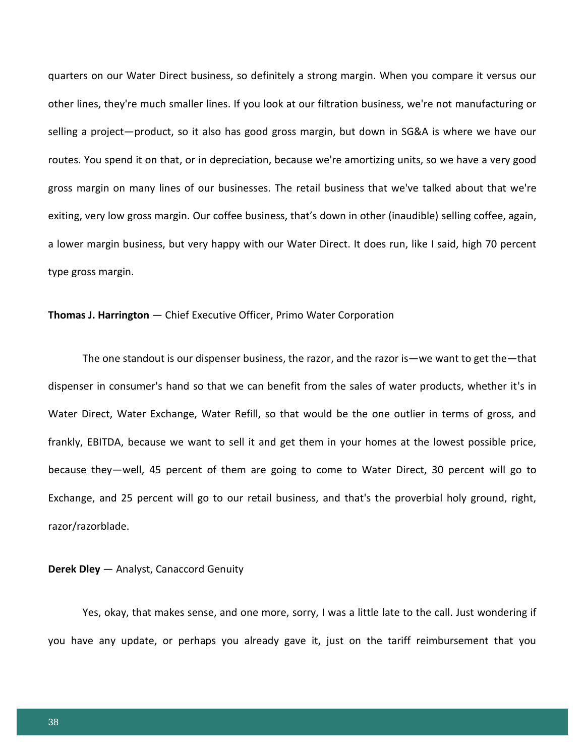quarters on our Water Direct business, so definitely a strong margin. When you compare it versus our other lines, they're much smaller lines. If you look at our filtration business, we're not manufacturing or selling a project—product, so it also has good gross margin, but down in SG&A is where we have our routes. You spend it on that, or in depreciation, because we're amortizing units, so we have a very good gross margin on many lines of our businesses. The retail business that we've talked about that we're exiting, very low gross margin. Our coffee business, that's down in other (inaudible) selling coffee, again, a lower margin business, but very happy with our Water Direct. It does run, like I said, high 70 percent type gross margin.

## **Thomas J. Harrington** — Chief Executive Officer, Primo Water Corporation

The one standout is our dispenser business, the razor, and the razor is—we want to get the—that dispenser in consumer's hand so that we can benefit from the sales of water products, whether it's in Water Direct, Water Exchange, Water Refill, so that would be the one outlier in terms of gross, and frankly, EBITDA, because we want to sell it and get them in your homes at the lowest possible price, because they—well, 45 percent of them are going to come to Water Direct, 30 percent will go to Exchange, and 25 percent will go to our retail business, and that's the proverbial holy ground, right, razor/razorblade.

#### **Derek Dley** — Analyst, Canaccord Genuity

Yes, okay, that makes sense, and one more, sorry, I was a little late to the call. Just wondering if you have any update, or perhaps you already gave it, just on the tariff reimbursement that you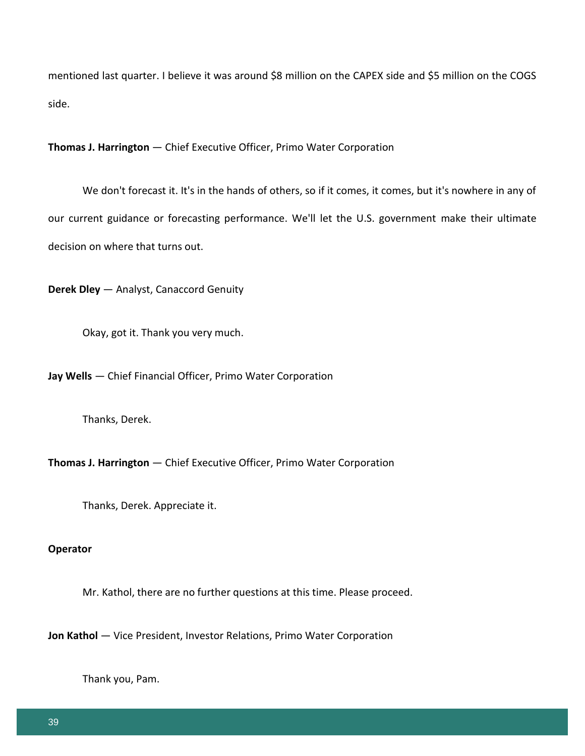mentioned last quarter. I believe it was around \$8 million on the CAPEX side and \$5 million on the COGS side.

**Thomas J. Harrington** — Chief Executive Officer, Primo Water Corporation

We don't forecast it. It's in the hands of others, so if it comes, it comes, but it's nowhere in any of our current guidance or forecasting performance. We'll let the U.S. government make their ultimate decision on where that turns out.

**Derek Dley** — Analyst, Canaccord Genuity

Okay, got it. Thank you very much.

**Jay Wells** — Chief Financial Officer, Primo Water Corporation

Thanks, Derek.

**Thomas J. Harrington** — Chief Executive Officer, Primo Water Corporation

Thanks, Derek. Appreciate it.

## **Operator**

Mr. Kathol, there are no further questions at this time. Please proceed.

**Jon Kathol** — Vice President, Investor Relations, Primo Water Corporation

Thank you, Pam.